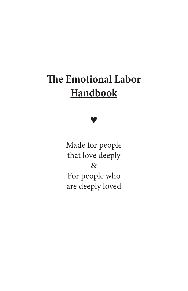# **The Emotional Labor Handbook**

♥

Made for people that love deeply & For people who are deeply loved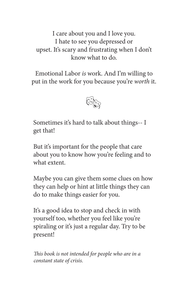I care about you and I love you. I hate to see you depressed or upset. It's scary and frustrating when I don't know what to do.

Emotional Labor *is* work. And I'm willing to put in the work for you because you're *worth* it.



Sometimes it's hard to talk about things-- I get that!

But it's important for the people that care about you to know how you're feeling and to what extent.

Maybe you can give them some clues on how they can help or hint at little things they can do to make things easier for you.

It's a good idea to stop and check in with yourself too, whether you feel like you're spiraling or it's just a regular day. Try to be present!

*This book is not intended for people who are in a constant state of crisis.*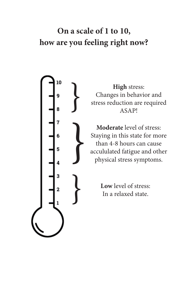## **On a scale of 1 to 10, how are you feeling right now?**



**High** stress:<br>
Changes in behavi<br>
stress reduction are<br>
ASAP! Changes in behavior and stress reduction are required **ASAP!** 

> **Moderate** level of stress: Staying in this state for more than 4-8 hours can cause accululated fatigue and other physical stress symptoms.

**Low** level of stress:<br>In a relaxed state.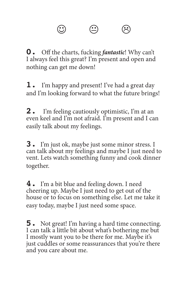$\circledcirc$   $\circledcirc$   $\circledcirc$ 

**0.** Off the charts, fucking *fantastic*! Why can't I always feel this great? I'm present and open and nothing can get me down!

**1.** I'm happy and present! I've had a great day and I'm looking forward to what the future brings!

**2.** I'm feeling cautiously optimistic, I'm at an even keel and I'm not afraid. I'm present and I can easily talk about my feelings.

**3.** I'm just ok, maybe just some minor stress. I can talk about my feelings and maybe I just need to vent. Lets watch something funny and cook dinner together.

**4.** I'm a bit blue and feeling down. I need cheering up. Maybe I just need to get out of the house or to focus on something else. Let me take it easy today, maybe I just need some space.

**5.** Not great! I'm having a hard time connecting. I can talk a little bit about what's bothering me but I mostly want you to be there for me. Maybe it's just cuddles or some reassurances that you're there and you care about me.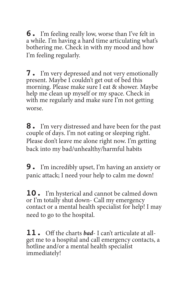**6.** I'm feeling really low, worse than I've felt in a while. I'm having a hard time articulating what's bothering me. Check in with my mood and how I'm feeling regularly.

**7.** I'm very depressed and not very emotionally present. Maybe I couldn't get out of bed this morning. Please make sure I eat & shower. Maybe help me clean up myself or my space. Check in with me regularly and make sure I'm not getting worse.

**8.** I'm very distressed and have been for the past couple of days. I'm not eating or sleeping right. Please don't leave me alone right now. I'm getting back into my bad/unhealthy/harmful habits

**9.** I'm incredibly upset, I'm having an anxiety or panic attack; I need your help to calm me down!

**10.** I'm hysterical and cannot be calmed down or I'm totally shut down- Call my emergency contact or a mental health specialist for help! I may need to go to the hospital.

**11.** Off the charts *bad*- I can't articulate at allget me to a hospital and call emergency contacts, a hotline and/or a mental health specialist immediately!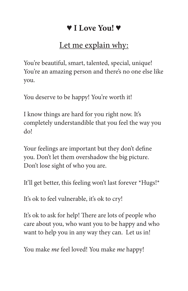## ♥ **I Love You!** ♥

## Let me explain why:

You're beautiful, smart, talented, special, unique! You're an amazing person and there's no one else like you.

You deserve to be happy! You're worth it!

I know things are hard for you right now. It's completely understandible that you feel the way you do!

Your feelings are important but they don't define you. Don't let them overshadow the big picture. Don't lose sight of who you are.

It'll get better, this feeling won't last forever \*Hugs!\*

It's ok to feel vulnerable, it's ok to cry!

It's ok to ask for help! There are lots of people who care about you, who want you to be happy and who want to help you in any way they can. Let us in!

You make *me* feel loved! You make *me* happy!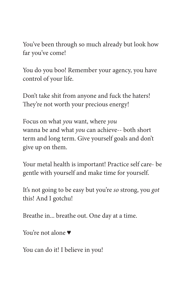You've been through so much already but look how far you've come!

You do you boo! Remember your agency, you have control of your life.

Don't take shit from anyone and fuck the haters! They're not worth your precious energy!

Focus on what *you* want, where *you* wanna be and what *you* can achieve-- both short term and long term. Give yourself goals and don't give up on them.

Your metal health is important! Practice self care- be gentle with yourself and make time for yourself.

It's not going to be easy but you're *so* strong, you *got* this! And I gotchu!

Breathe in... breathe out. One day at a time.

You're not alone ♥

You can do it! I believe in you!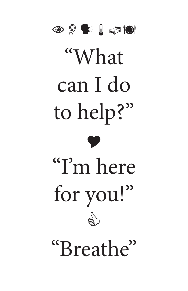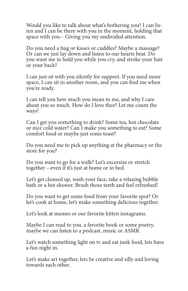Would you like to talk about what's bothering you? I can listen and I can be there with you in the moment, holding that space with you-- Giving you my undivided attention.

Do you need a hug or kisses or cuddles? Maybe a massage? Or can we just lay down and listen to our hearts beat. Do you want me to hold you while you cry, and stroke your hair or your back?

I can just sit with you silently for support. If you need more space, I can sit in another room, and you can find me when you're ready.

I can tell you how much you mean to me, and why I care about you so much. How do I love thee? Let me count the ways!

Can I get you something to drink? Some tea, hot chocolate or nice cold water? Can I make you something to eat? Some comfort food or maybe just some toast?

Do you need me to pick up anything at the pharmacy or the store for you?

Do you want to go for a walk? Let's excersize or stretch together --even if it's just at home or in bed.

Let's get cleaned up, wash your face, take a relaxing bubble bath or a hot shower. Brush those teeth and feel refreshed!

Do you want to get some food from your favorite spot? Or let's cook at home, let's make something delicious together.

Let's look at memes or our favorite kitten instagrams.

Maybe I can read to you, a favorite book or some poetry. maybe we can listen to a podcast, music or ASMR.

Let's watch something light on tv and eat junk food, lets have a fun night in.

Let's make art together, lets be creative and silly and loving towards each other.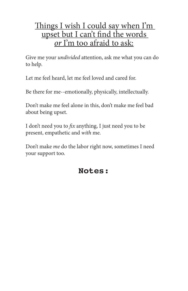### Things I wish I could say when I'm upset but I can't find the words *or* I'm too afraid to ask:

Give me your *undivided* attention, ask me what you can do to help.

Let me feel heard, let me feel loved and cared for.

Be there for me--emotionally, physically, intellectually.

Don't make me feel alone in this, don't make me feel bad about being upset.

I don't need you to *fix* anything, I just need you to be present, empathetic and *with* me.

Don't make *me* do the labor right now, sometimes I need your support too.

## **Notes:**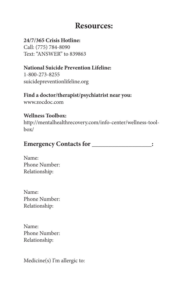### **Resources:**

**24/7/365 Crisis Hotline:** Call: (775) 784-8090 Text: "ANSWER" to 839863

#### **National Suicide Prevention Lifeline:**

1-800-273-8255 suicidepreventionlifeline.org

#### **Find a doctor/therapist/psychiatrist near you:**

www.zocdoc.com

#### **Wellness Toolbox:**

http://mentalhealthrecovery.com/info-center/wellness-toolbox/

### **Emergency Contacts for \_\_\_\_\_\_\_\_\_\_\_\_\_\_\_\_\_\_:**

Name: Phone Number: Relationship:

Name: Phone Number: Relationship:

Name: Phone Number: Relationship:

Medicine(s) I'm allergic to: